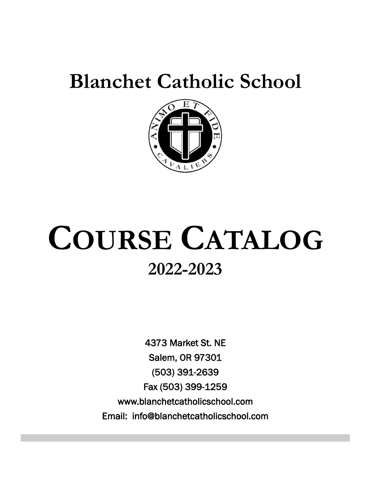# **Blanchet Catholic School**



# **COURSE CATALOG 2022-2023**

4373 Market St. NE Salem, OR 97301 (503) 391-2639 Fax (503) 399-1259 www.blanchetcatholicschool.com Email: info@blanchetcatholicschool.com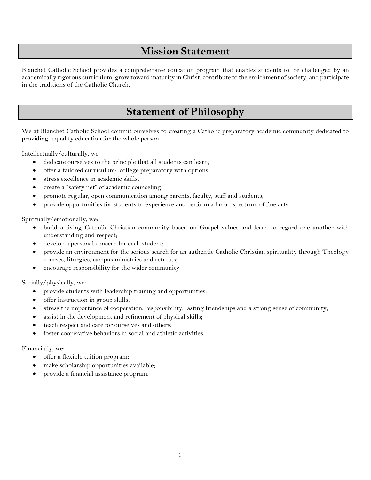## **Mission Statement**

Blanchet Catholic School provides a comprehensive education program that enables students to: be challenged by an academically rigorous curriculum, grow toward maturity in Christ, contribute to the enrichment of society, and participate in the traditions of the Catholic Church.

## **Statement of Philosophy**

We at Blanchet Catholic School commit ourselves to creating a Catholic preparatory academic community dedicated to providing a quality education for the whole person.

Intellectually/culturally, we:

- dedicate ourselves to the principle that all students can learn;
- offer a tailored curriculum: college preparatory with options;
- stress excellence in academic skills;
- create a "safety net" of academic counseling;
- promote regular, open communication among parents, faculty, staff and students;
- provide opportunities for students to experience and perform a broad spectrum of fine arts.

Spiritually/emotionally, we:

- build a living Catholic Christian community based on Gospel values and learn to regard one another with understanding and respect;
- develop a personal concern for each student;
- provide an environment for the serious search for an authentic Catholic Christian spirituality through Theology courses, liturgies, campus ministries and retreats;
- encourage responsibility for the wider community.

Socially/physically, we:

- provide students with leadership training and opportunities;
- offer instruction in group skills;
- stress the importance of cooperation, responsibility, lasting friendships and a strong sense of community;
- assist in the development and refinement of physical skills;
- teach respect and care for ourselves and others;
- foster cooperative behaviors in social and athletic activities.

Financially, we:

- offer a flexible tuition program;
- make scholarship opportunities available;
- provide a financial assistance program.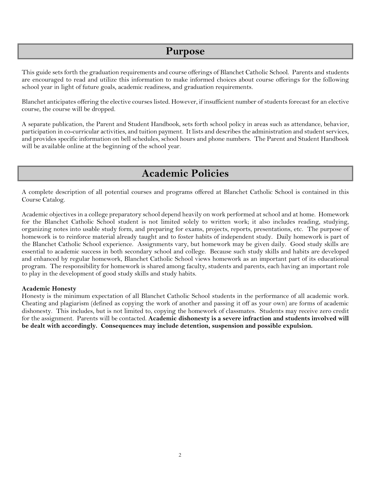## **Purpose**

This guide sets forth the graduation requirements and course offerings of Blanchet Catholic School. Parents and students are encouraged to read and utilize this information to make informed choices about course offerings for the following school year in light of future goals, academic readiness, and graduation requirements.

Blanchet anticipates offering the elective courses listed. However, if insufficient number of students forecast for an elective course, the course will be dropped.

A separate publication, the Parent and Student Handbook, sets forth school policy in areas such as attendance, behavior, participation in co-curricular activities, and tuition payment. It lists and describes the administration and student services, and provides specific information on bell schedules, school hours and phone numbers. The Parent and Student Handbook will be available online at the beginning of the school year.

## **Academic Policies**

A complete description of all potential courses and programs offered at Blanchet Catholic School is contained in this Course Catalog.

Academic objectives in a college preparatory school depend heavily on work performed at school and at home. Homework for the Blanchet Catholic School student is not limited solely to written work; it also includes reading, studying, organizing notes into usable study form, and preparing for exams, projects, reports, presentations, etc. The purpose of homework is to reinforce material already taught and to foster habits of independent study. Daily homework is part of the Blanchet Catholic School experience. Assignments vary, but homework may be given daily. Good study skills are essential to academic success in both secondary school and college. Because such study skills and habits are developed and enhanced by regular homework, Blanchet Catholic School views homework as an important part of its educational program. The responsibility for homework is shared among faculty, students and parents, each having an important role to play in the development of good study skills and study habits.

### **Academic Honesty**

Honesty is the minimum expectation of all Blanchet Catholic School students in the performance of all academic work. Cheating and plagiarism (defined as copying the work of another and passing it off as your own) are forms of academic dishonesty. This includes, but is not limited to, copying the homework of classmates. Students may receive zero credit for the assignment. Parents will be contacted. **Academic dishonesty is a severe infraction and students involved will be dealt with accordingly. Consequences may include detention, suspension and possible expulsion.**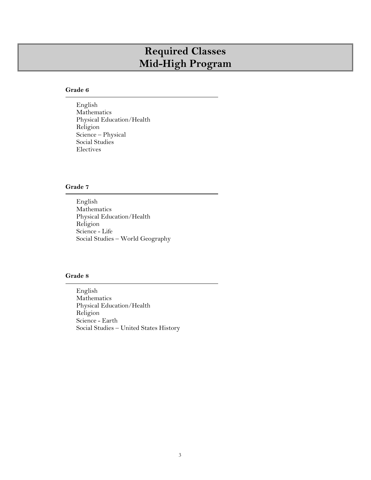## **Required Classes Mid-High Program**

### **Grade 6**

English Mathematics Physical Education/Health Religion Science – Physical Social Studies Electives

### **Grade 7**

English Mathematics Physical Education/Health Religion Science - Life Social Studies – World Geography

### **Grade 8**

English Mathematics Physical Education/Health Religion Science - Earth Social Studies – United States History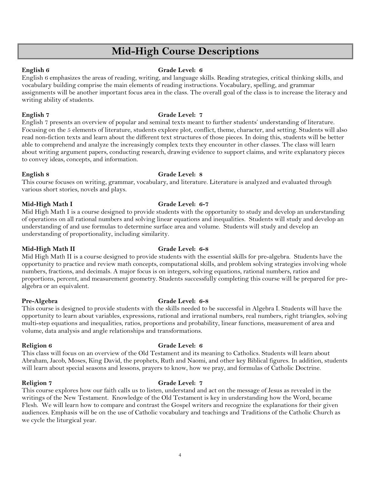## **Mid-High Course Descriptions**

### **English 6 Grade Level: 6 Grade Level: 6**

English 6 emphasizes the areas of reading, writing, and language skills. Reading strategies, critical thinking skills, and vocabulary building comprise the main elements of reading instructions. Vocabulary, spelling, and grammar assignments will be another important focus area in the class. The overall goal of the class is to increase the literacy and writing ability of students.

**English 7 Grade Level: 7** 

English 7 presents an overview of popular and seminal texts meant to further students' understanding of literature. Focusing on the 5 elements of literature, students explore plot, conflict, theme, character, and setting. Students will also read non-fiction texts and learn about the different text structures of those pieces. In doing this, students will be better able to comprehend and analyze the increasingly complex texts they encounter in other classes. The class will learn about writing argument papers, conducting research, drawing evidence to support claims, and write explanatory pieces to convey ideas, concepts, and information.

### **English 8 Grade Level: 8**

### This course focuses on writing, grammar, vocabulary, and literature. Literature is analyzed and evaluated through various short stories, novels and plays.

### **Mid-High Math I Grade Level: 6-7**

Mid High Math I is a course designed to provide students with the opportunity to study and develop an understanding of operations on all rational numbers and solving linear equations and inequalities. Students will study and develop an understanding of and use formulas to determine surface area and volume. Students will study and develop an understanding of proportionality, including similarity.

### **Mid-High Math II Grade Level: 6-8**

Mid High Math II is a course designed to provide students with the essential skills for pre-algebra. Students have the opportunity to practice and review math concepts, computational skills, and problem solving strategies involving whole numbers, fractions, and decimals. A major focus is on integers, solving equations, rational numbers, ratios and proportions, percent, and measurement geometry. Students successfully completing this course will be prepared for prealgebra or an equivalent.

### **Pre-Algebra Grade Level: 6-8**

### This course is designed to provide students with the skills needed to be successful in Algebra I. Students will have the opportunity to learn about variables, expressions, rational and irrational numbers, real numbers, right triangles, solving multi-step equations and inequalities, ratios, proportions and probability, linear functions, measurement of area and volume, data analysis and angle relationships and transformations.

### **Religion 6 Grade Level: 6**

This class will focus on an overview of the Old Testament and its meaning to Catholics. Students will learn about Abraham, Jacob, Moses, King David, the prophets, Ruth and Naomi, and other key Biblical figures. In addition, students will learn about special seasons and lessons, prayers to know, how we pray, and formulas of Catholic Doctrine.

### Religion 7 Grade Level: 7

This course explores how our faith calls us to listen, understand and act on the message of Jesus as revealed in the writings of the New Testament. Knowledge of the Old Testament is key in understanding how the Word, became Flesh. We will learn how to compare and contrast the Gospel writers and recognize the explanations for their given audiences. Emphasis will be on the use of Catholic vocabulary and teachings and Traditions of the Catholic Church as we cycle the liturgical year.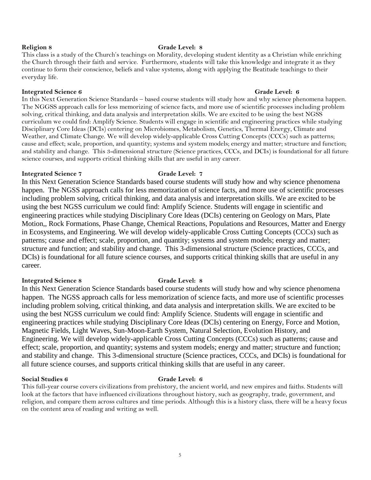### **Religion 8 Grade Level: 8**

This class is a study of the Church's teachings on Morality, developing student identity as a Christian while enriching the Church through their faith and service. Furthermore, students will take this knowledge and integrate it as they continue to form their conscience, beliefs and value systems, along with applying the Beatitude teachings to their everyday life.

### **Integrated Science 6 Grade Level: 6 Grade Level: 6 Grade Level: 6**

In this Next Generation Science Standards – based course students will study how and why science phenomena happen. The NGGSS approach calls for less memorizing of science facts, and more use of scientific processes including problem solving, critical thinking, and data analysis and interpretation skills. We are excited to be using the best NGSS curriculum we could find: Amplify Science. Students will engage in scientific and engineering practices while studying Disciplinary Core Ideas (DCIs) centering on Microbiomes, Metabolism, Genetics, Thermal Energy, Climate and Weather, and Climate Change. We will develop widely-applicable Cross Cutting Concepts (CCCs) such as patterns; cause and effect; scale, proportion, and quantity; systems and system models; energy and matter; structure and function; and stability and change. This 3-dimensional structure (Science practices, CCCs, and DCIs) is foundational for all future science courses, and supports critical thinking skills that are useful in any career.

### **Integrated Science 7 Grade Level: 7**

In this Next Generation Science Standards based course students will study how and why science phenomena happen. The NGSS approach calls for less memorization of science facts, and more use of scientific processes including problem solving, critical thinking, and data analysis and interpretation skills. We are excited to be using the best NGSS curriculum we could find: Amplify Science. Students will engage in scientific and engineering practices while studying Disciplinary Core Ideas (DCIs) centering on Geology on Mars, Plate Motion,, Rock Formations, Phase Change, Chemical Reactions, Populations and Resources, Matter and Energy in Ecosystems, and Engineering. We will develop widely-applicable Cross Cutting Concepts (CCCs) such as patterns; cause and effect; scale, proportion, and quantity; systems and system models; energy and matter; structure and function; and stability and change. This 3-dimensional structure (Science practices, CCCs, and DCIs) is foundational for all future science courses, and supports critical thinking skills that are useful in any career.

### **Integrated Science 8 Grade Level: 8**

In this Next Generation Science Standards based course students will study how and why science phenomena happen. The NGSS approach calls for less memorization of science facts, and more use of scientific processes including problem solving, critical thinking, and data analysis and interpretation skills. We are excited to be using the best NGSS curriculum we could find: Amplify Science. Students will engage in scientific and engineering practices while studying Disciplinary Core Ideas (DCIs) centering on Energy, Force and Motion, Magnetic Fields, Light Waves, Sun-Moon-Earth System, Natural Selection, Evolution History, and Engineering. We will develop widely-applicable Cross Cutting Concepts (CCCs) such as patterns; cause and effect; scale, proportion, and quantity; systems and system models; energy and matter; structure and function; and stability and change. This 3-dimensional structure (Science practices, CCCs, and DCIs) is foundational for all future science courses, and supports critical thinking skills that are useful in any career.

### **Social Studies 6 Grade Level: 6**

This full-year course covers civilizations from prehistory, the ancient world, and new empires and faiths. Students will look at the factors that have influenced civilizations throughout history, such as geography, trade, government, and religion, and compare them across cultures and time periods. Although this is a history class, there will be a heavy focus on the content area of reading and writing as well.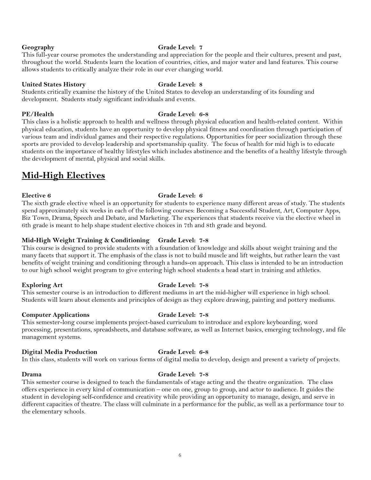### **Geography Grade Level: 7**

This full-year course promotes the understanding and appreciation for the people and their cultures, present and past, throughout the world. Students learn the location of countries, cities, and major water and land features. This course allows students to critically analyze their role in our ever changing world.

### **United States History Grade Level: 8**

Students critically examine the history of the United States to develop an understanding of its founding and development. Students study significant individuals and events.

### **PE/Health Grade Level: 6-8**

This class is a holistic approach to health and wellness through physical education and health-related content. Within physical education, students have an opportunity to develop physical fitness and coordination through participation of various team and individual games and their respective regulations. Opportunities for peer socialization through these sports are provided to develop leadership and sportsmanship quality. The focus of health for mid high is to educate students on the importance of healthy lifestyles which includes abstinence and the benefits of a healthy lifestyle through the development of mental, physical and social skills.

## **Mid-High Electives**

### **Elective 6 Grade Level: 6**

The sixth grade elective wheel is an opportunity for students to experience many different areas of study. The students spend approximately six weeks in each of the following courses: Becoming a Successful Student, Art, Computer Apps, Biz Town, Drama, Speech and Debate, and Marketing. The experiences that students receive via the elective wheel in 6th grade is meant to help shape student elective choices in 7th and 8th grade and beyond.

### **Mid-High Weight Training & Conditioning Grade Level: 7-8**

This course is designed to provide students with a foundation of knowledge and skills about weight training and the many facets that support it. The emphasis of the class is not to build muscle and lift weights, but rather learn the vast benefits of weight training and conditioning through a hands-on approach. This class is intended to be an introduction to our high school weight program to give entering high school students a head start in training and athletics.

### **Exploring Art Grade Level: 7-8**

### This semester course is an introduction to different mediums in art the mid-higher will experience in high school. Students will learn about elements and principles of design as they explore drawing, painting and pottery mediums.

### **Computer Applications Grade Level: 7-8**

This semester-long course implements project-based curriculum to introduce and explore keyboarding, word processing, presentations, spreadsheets, and database software, as well as Internet basics, emerging technology, and file management systems.

### **Digital Media Production Grade Level: 6-8**

In this class, students will work on various forms of digital media to develop, design and present a variety of projects.

### **Drama Grade Level: 7-8**

This semester course is designed to teach the fundamentals of stage acting and the theatre organization. The class offers experience in every kind of communication – one on one, group to group, and actor to audience. It guides the student in developing self-confidence and creativity while providing an opportunity to manage, design, and serve in different capacities of theatre. The class will culminate in a performance for the public, as well as a performance tour to the elementary schools.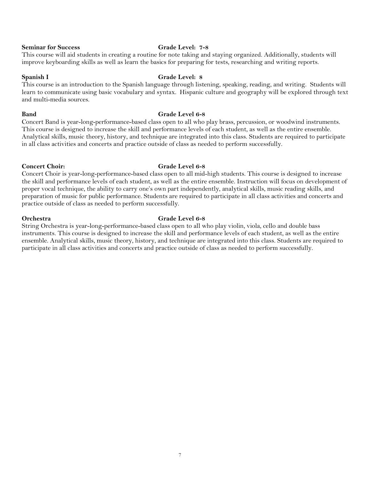### **Seminar for Success Grade Level: 7-8**

This course will aid students in creating a routine for note taking and staying organized. Additionally, students will improve keyboarding skills as well as learn the basics for preparing for tests, researching and writing reports.

### **Spanish I Grade Level: 8**

This course is an introduction to the Spanish language through listening, speaking, reading, and writing. Students will learn to communicate using basic vocabulary and syntax. Hispanic culture and geography will be explored through text and multi-media sources.

### **Band Grade Level 6-8**

Concert Band is year-long-performance-based class open to all who play brass, percussion, or woodwind instruments. This course is designed to increase the skill and performance levels of each student, as well as the entire ensemble. Analytical skills, music theory, history, and technique are integrated into this class. Students are required to participate in all class activities and concerts and practice outside of class as needed to perform successfully.

### Concert Choir: Grade Level 6-8

Concert Choir is year-long-performance-based class open to all mid-high students. This course is designed to increase the skill and performance levels of each student, as well as the entire ensemble. Instruction will focus on development of proper vocal technique, the ability to carry one's own part independently, analytical skills, music reading skills, and preparation of music for public performance. Students are required to participate in all class activities and concerts and practice outside of class as needed to perform successfully.

### **Orchestra Grade Level 6-8**

String Orchestra is year-long-performance-based class open to all who play violin, viola, cello and double bass instruments. This course is designed to increase the skill and performance levels of each student, as well as the entire ensemble. Analytical skills, music theory, history, and technique are integrated into this class. Students are required to participate in all class activities and concerts and practice outside of class as needed to perform successfully.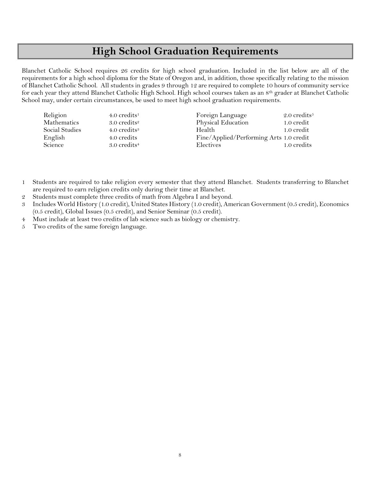## **High School Graduation Requirements**

Blanchet Catholic School requires 26 credits for high school graduation. Included in the list below are all of the requirements for a high school diploma for the State of Oregon and, in addition, those specifically relating to the mission of Blanchet Catholic School. All students in grades 9 through 12 are required to complete 10 hours of community service for each year they attend Blanchet Catholic High School. High school courses taken as an 8th grader at Blanchet Catholic School may, under certain circumstances, be used to meet high school graduation requirements.

| Religion       | $4.0$ credits <sup>1</sup> | Foreign Language                        | 2.0 credits <sup><math>5</math></sup> |
|----------------|----------------------------|-----------------------------------------|---------------------------------------|
| Mathematics    | $3.0$ credits <sup>2</sup> | Physical Education                      | 1.0 credit                            |
| Social Studies | 4.0 credits <sup>3</sup>   | Health                                  | 1.0 credit                            |
| English        | 4.0 credits                | Fine/Applied/Performing Arts 1.0 credit |                                       |
| Science        | $3.0$ credits <sup>4</sup> | Electives                               | 1.0 credits                           |

1 Students are required to take religion every semester that they attend Blanchet. Students transferring to Blanchet are required to earn religion credits only during their time at Blanchet.

- 2 Students must complete three credits of math from Algebra I and beyond.
- 3 Includes World History (1.0 credit), United States History (1.0 credit), American Government (0.5 credit), Economics (0.5 credit), Global Issues (0.5 credit), and Senior Seminar (0.5 credit).
- 4 Must include at least two credits of lab science such as biology or chemistry.
- 5 Two credits of the same foreign language.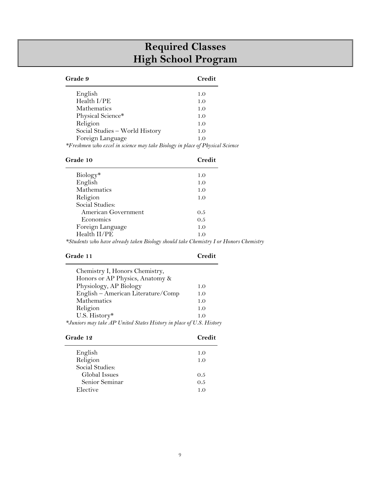## **Required Classes High School Program**

| Grade 9                                                                      | Credit |  |
|------------------------------------------------------------------------------|--------|--|
| English                                                                      | 1.0    |  |
| Health I/PE                                                                  | 1.0    |  |
| <b>Mathematics</b>                                                           | 1.0    |  |
| Physical Science*                                                            | 1.0    |  |
| Religion                                                                     | 1.0    |  |
| Social Studies - World History                                               | 1.0    |  |
| Foreign Language                                                             | 1.0    |  |
| *Freshmen who excel in science may take Biology in place of Physical Science |        |  |

| Grade 10                                                                             | Credit |  |
|--------------------------------------------------------------------------------------|--------|--|
| Biology*                                                                             | 1.0    |  |
| English                                                                              | 1.0    |  |
| Mathematics                                                                          | 1.0    |  |
| Religion                                                                             | 1.0    |  |
| Social Studies:                                                                      |        |  |
| American Government                                                                  | 0.5    |  |
| Economics                                                                            | 0.5    |  |
| Foreign Language                                                                     | 1.0    |  |
| Health II/PE                                                                         | 1.0    |  |
| *Students who have already taken Biology should take Chemistry I or Honors Chemistry |        |  |

### **Grade 11 Credit**

| Chemistry I, Honors Chemistry,                                      |     |
|---------------------------------------------------------------------|-----|
| Honors or AP Physics, Anatomy &                                     |     |
| Physiology, AP Biology                                              | 1.0 |
| English - American Literature/Comp                                  | 1.0 |
| Mathematics                                                         | 1.0 |
| Religion                                                            | 1.0 |
| U.S. History*                                                       | 1.0 |
| *Juniors may take AP United States History in place of U.S. History |     |

| Grade 12        | Credit |  |
|-----------------|--------|--|
| English         | 1.0    |  |
| Religion        | 1.0    |  |
| Social Studies: |        |  |
| Global Issues   | 0.5    |  |
| Senior Seminar  | 0.5    |  |
| Elective        | 1.0    |  |
|                 |        |  |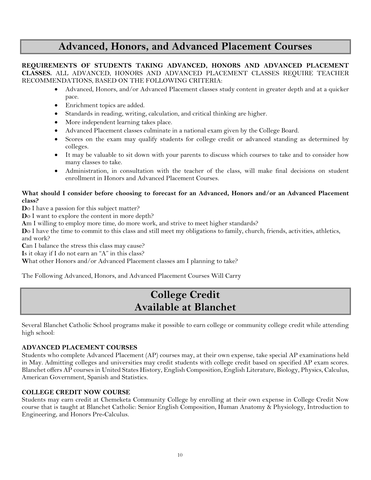## **Advanced, Honors, and Advanced Placement Courses**

**REQUIREMENTS OF STUDENTS TAKING ADVANCED, HONORS AND ADVANCED PLACEMENT CLASSES.** ALL ADVANCED, HONORS AND ADVANCED PLACEMENT CLASSES REQUIRE TEACHER RECOMMENDATIONS, BASED ON THE FOLLOWING CRITERIA:

- Advanced, Honors, and/or Advanced Placement classes study content in greater depth and at a quicker pace.
- Enrichment topics are added.
- Standards in reading, writing, calculation, and critical thinking are higher.
- More independent learning takes place.
- Advanced Placement classes culminate in a national exam given by the College Board.
- Scores on the exam may qualify students for college credit or advanced standing as determined by colleges.
- It may be valuable to sit down with your parents to discuss which courses to take and to consider how many classes to take.
- Administration, in consultation with the teacher of the class, will make final decisions on student enrollment in Honors and Advanced Placement Courses.

### **What should I consider before choosing to forecast for an Advanced, Honors and/or an Advanced Placement class?**

**D**o I have a passion for this subject matter?

**Do** I want to explore the content in more depth?

**A**m I willing to employ more time, do more work, and strive to meet higher standards?

**D**o I have the time to commit to this class and still meet my obligations to family, church, friends, activities, athletics, and work?

Can I balance the stress this class may cause?

**I**s it okay if I do not earn an "A" in this class?

**W**hat other Honors and/or Advanced Placement classes am I planning to take?

The Following Advanced, Honors, and Advanced Placement Courses Will Carry

## **College Credit Available at Blanchet**

Several Blanchet Catholic School programs make it possible to earn college or community college credit while attending high school:

### **ADVANCED PLACEMENT COURSES**

Students who complete Advanced Placement (AP) courses may, at their own expense, take special AP examinations held in May. Admitting colleges and universities may credit students with college credit based on specified AP exam scores. Blanchet offers AP courses in United States History, English Composition, English Literature, Biology, Physics, Calculus, American Government, Spanish and Statistics.

### **COLLEGE CREDIT NOW COURSE**

Students may earn credit at Chemeketa Community College by enrolling at their own expense in College Credit Now course that is taught at Blanchet Catholic: Senior English Composition, Human Anatomy & Physiology, Introduction to Engineering, and Honors Pre-Calculus.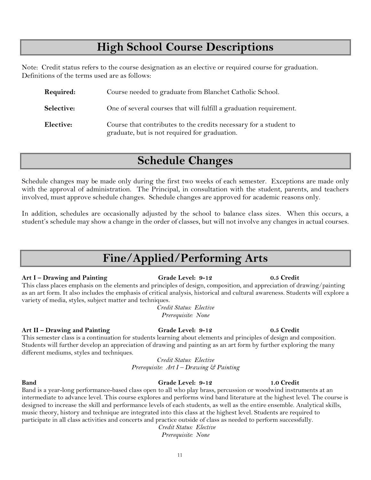## **High School Course Descriptions**

Note: Credit status refers to the course designation as an elective or required course for graduation. Definitions of the terms used are as follows:

| Required:  | Course needed to graduate from Blanchet Catholic School.                                                           |
|------------|--------------------------------------------------------------------------------------------------------------------|
| Selective: | One of several courses that will fulfill a graduation requirement.                                                 |
| Elective:  | Course that contributes to the credits necessary for a student to<br>graduate, but is not required for graduation. |

## **Schedule Changes**

Schedule changes may be made only during the first two weeks of each semester. Exceptions are made only with the approval of administration. The Principal, in consultation with the student, parents, and teachers involved, must approve schedule changes. Schedule changes are approved for academic reasons only.

In addition, schedules are occasionally adjusted by the school to balance class sizes. When this occurs, a student's schedule may show a change in the order of classes, but will not involve any changes in actual courses.

## **Fine/Applied/Performing Arts**

### **Art I – Drawing and Painting Grade Level: 9-12 0.5 Credit**

This class places emphasis on the elements and principles of design, composition, and appreciation of drawing/painting as an art form. It also includes the emphasis of critical analysis, historical and cultural awareness. Students will explore a variety of media, styles, subject matter and techniques.

> *Credit Status: Elective Prerequisite: None*

### **Art II – Drawing and Painting Grade Level: 9-12 0.5 Credit**

This semester class is a continuation for students learning about elements and principles of design and composition. Students will further develop an appreciation of drawing and painting as an art form by further exploring the many different mediums, styles and techniques.

> *Credit Status: Elective Prerequisite: Art I – Drawing & Painting*

Band is a year-long performance-based class open to all who play brass, percussion or woodwind instruments at an intermediate to advance level. This course explores and performs wind band literature at the highest level. The course is designed to increase the skill and performance levels of each students, as well as the entire ensemble. Analytical skills, music theory, history and technique are integrated into this class at the highest level. Students are required to participate in all class activities and concerts and practice outside of class as needed to perform successfully.

## *Credit Status: Elective*

*Prerequisite: None*

## **Band Grade Level: 9-12 1.0 Credit**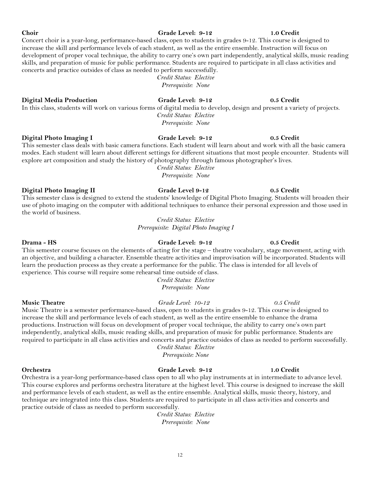### Concert choir is a year-long, performance-based class, open to students in grades 9-12. This course is designed to increase the skill and performance levels of each student, as well as the entire ensemble. Instruction will focus on

### development of proper vocal technique, the ability to carry one's own part independently, analytical skills, music reading skills, and preparation of music for public performance. Students are required to participate in all class activities and concerts and practice outsides of class as needed to perform successfully.

*Credit Status: Elective Prerequisite: None*

### **Digital Media Production Grade Level: 9-12 0.5 Credit**

In this class, students will work on various forms of digital media to develop, design and present a variety of projects.

### **Digital Photo Imaging I Grade Level: 9-12 0.5 Credit**

This semester class deals with basic camera functions. Each student will learn about and work with all the basic camera modes. Each student will learn about different settings for different situations that most people encounter. Students will explore art composition and study the history of photography through famous photographer's lives.

*Credit Status: Elective Prerequisite: None*

### **Digital Photo Imaging II Grade Level 9-12 0.5 Credit**

This semester class is designed to extend the students' knowledge of Digital Photo Imaging. Students will broaden their use of photo imaging on the computer with additional techniques to enhance their personal expression and those used in the world of business.

> *Credit Status: Elective Prerequisite: Digital Photo Imaging I*

### This semester course focuses on the elements of acting for the stage – theatre vocabulary, stage movement, acting with an objective, and building a character. Ensemble theatre activities and improvisation will be incorporated. Students will learn the production process as they create a performance for the public. The class is intended for all levels of experience. This course will require some rehearsal time outside of class.

*Credit Status: Elective Prerequisite: None*

increase the skill and performance levels of each student, as well as the entire ensemble to enhance the drama productions. Instruction will focus on development of proper vocal technique, the ability to carry one's own part independently, analytical skills, music reading skills, and preparation of music for public performance. Students are required to participate in all class activities and concerts and practice outsides of class as needed to perform successfully.

*Credit Status: Elective*

*Prerequisite: None*

### **Orchestra Grade Level: 9-12 1.0 Credit**

Orchestra is a year-long performance-based class open to all who play instruments at in intermediate to advance level. This course explores and performs orchestra literature at the highest level. This course is designed to increase the skill and performance levels of each student, as well as the entire ensemble. Analytical skills, music theory, history, and technique are integrated into this class. Students are required to participate in all class activities and concerts and practice outside of class as needed to perform successfully.

> *Credit Status: Elective Prerequisite: None*

### **Drama - HS Grade Level: 9-12 0.5 Credit**

**Music Theatre** *Grade Level: 10-12 0.5 Credit* Music Theatre is a semester performance-based class, open to students in grades 9-12. This course is designed to

### **Choir Grade Level: 9-12 1.0 Credit**

*Credit Status: Elective Prerequisite: None*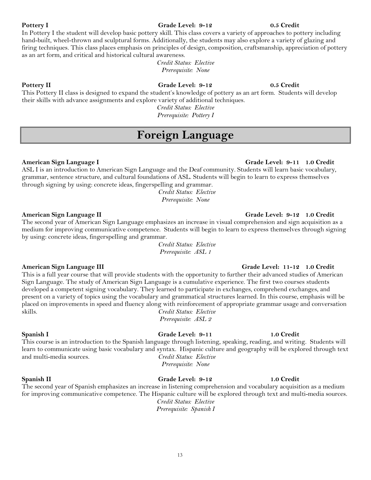## In Pottery I the student will develop basic pottery skill. This class covers a variety of approaches to pottery including

### **Pottery II Grade Level: 9-12 0.5 Credit**

### This Pottery II class is designed to expand the student's knowledge of pottery as an art form. Students will develop their skills with advance assignments and explore variety of additional techniques.

*Credit Status: Elective Prerequisite: Pottery I*

## **Foreign Language**

as an art form, and critical and historical cultural awareness.

ASL I is an introduction to American Sign Language and the Deaf community. Students will learn basic vocabulary, grammar, sentence structure, and cultural foundations of ASL. Students will begin to learn to express themselves through signing by using: concrete ideas, fingerspelling and grammar.

*Credit Status: Elective Prerequisite: None*

### **American Sign Language II Grade Level: 9-12 1.0 Credit**

The second year of American Sign Language emphasizes an increase in visual comprehension and sign acquisition as a medium for improving communicative competence. Students will begin to learn to express themselves through signing by using: concrete ideas, fingerspelling and grammar.

> *Credit Status: Elective Prerequisite: ASL 1*

This is a full year course that will provide students with the opportunity to further their advanced studies of American Sign Language. The study of American Sign Language is a cumulative experience. The first two courses students developed a competent signing vocabulary. They learned to participate in exchanges, comprehend exchanges, and present on a variety of topics using the vocabulary and grammatical structures learned. In this course, emphasis will be placed on improvements in speed and fluency along with reinforcement of appropriate grammar usage and conversation skills. *Credit Status: Elective Prerequisite: ASL 2*

### **Spanish I Grade Level: 9-11 1.0 Credit**

This course is an introduction to the Spanish language through listening, speaking, reading, and writing. Students will learn to communicate using basic vocabulary and syntax. Hispanic culture and geography will be explored through text and multi-media sources. *Credit Status: Elective*

**Spanish II Grade Level: 9-12 1.0 Credit**  The second year of Spanish emphasizes an increase in listening comprehension and vocabulary acquisition as a medium for improving communicative competence. The Hispanic culture will be explored through text and multi-media sources. *Credit Status: Elective*

*Prerequisite: Spanish I*

### **American Sign Language I Grade Level: 9-11 1.0 Credit**

### **American Sign Language III Grade Level: 11-12 1.0 Credit**

*Prerequisite: None*

**Pottery I Grade Level: 9-12 0.5 Credit** 

### hand-built, wheel-thrown and sculptural forms. Additionally, the students may also explore a variety of glazing and firing techniques. This class places emphasis on principles of design, composition, craftsmanship, appreciation of pottery

*Credit Status: Elective Prerequisite: None*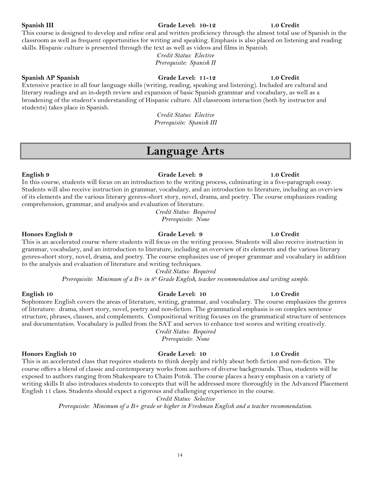### 14

### **Spanish III Grade Level: 10-12 1.0 Credit**

### **Spanish AP Spanish Grade Level: 11-12 1.0 Credit**

Extensive practice in all four language skills (writing, reading, speaking and listening). Included are cultural and literary readings and an in-depth review and expansion of basic Spanish grammar and vocabulary, as well as a broadening of the student's understanding of Hispanic culture. All classroom interaction (both by instructor and students) takes place in Spanish.

skills. Hispanic culture is presented through the text as well as videos and films in Spanish.

*Credit Status: Elective Prerequisite: Spanish III*

## **Language Arts**

**English 9 Grade Level: 9 1.0 Credit** In this course, students will focus on an introduction to the writing process, culminating in a five-paragraph essay. Students will also receive instruction in grammar, vocabulary, and an introduction to literature, including an overview of its elements and the various literary genres-short story, novel, drama, and poetry. The course emphasizes reading comprehension, grammar, and analysis and evaluation of literature.

*Credit Status: Required Prerequisite: None*

### **Honors English 9 Grade Level: 9 1.0 Credit**

This is an accelerated course where students will focus on the writing process. Students will also receive instruction in grammar, vocabulary, and an introduction to literature, including an overview of its elements and the various literary genres-short story, novel, drama, and poetry. The course emphasizes use of proper grammar and vocabulary in addition to the analysis and evaluation of literature and writing techniques.

*Credit Status: Required Prerequisite: Minimum of a B+ in 8th Grade English, teacher recommendation and writing sample.*

### **English 10 Grade Level: 10 1.0 Credit**

Sophomore English covers the areas of literature, writing, grammar, and vocabulary. The course emphasizes the genres of literature: drama, short story, novel, poetry and non-fiction. The grammatical emphasis is on complex sentence structure, phrases, clauses, and complements. Compositional writing focuses on the grammatical structure of sentences and documentation. Vocabulary is pulled from the SAT and serves to enhance test scores and writing creatively.

*Credit Status: Required Prerequisite: None*

### **Honors English 10 Grade Level: 10 1.0 Credit**

This is an accelerated class that requires students to think deeply and richly about both fiction and non-fiction. The course offers a blend of classic and contemporary works from authors of diverse backgrounds. Thus, students will be exposed to authors ranging from Shakespeare to Chaim Potok. The course places a heavy emphasis on a variety of writing skills It also introduces students to concepts that will be addressed more thoroughly in the Advanced Placement English 11 class. Students should expect a rigorous and challenging experience in the course.

*Credit Status: Selective*

*Prerequisite: Minimum of a B+ grade or higher in Freshman English and a teacher recommendation.*

*Credit Status: Elective Prerequisite: Spanish II*

This course is designed to develop and refine oral and written proficiency through the almost total use of Spanish in the classroom as well as frequent opportunities for writing and speaking. Emphasis is also placed on listening and reading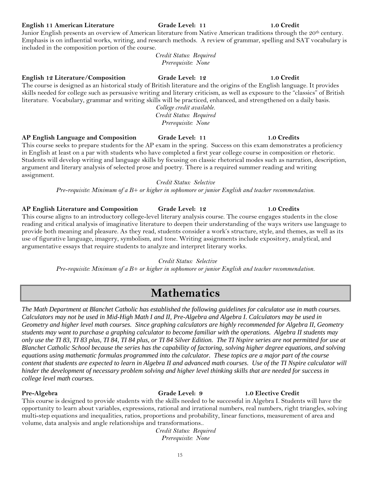### 15

**English 11 American Literature Grade Level: 11 1.0 Credit**

Junior English presents an overview of American literature from Native American traditions through the 20<sup>th</sup> century. Emphasis is on influential works, writing, and research methods. A review of grammar, spelling and SAT vocabulary is included in the composition portion of the course.

*Credit Status: Required Prerequisite: None*

### **English 12 Literature/Composition Grade Level: 12 1.0 Credit**

The course is designed as an historical study of British literature and the origins of the English language. It provides skills needed for college such as persuasive writing and literary criticism, as well as exposure to the "classics" of British literature. Vocabulary, grammar and writing skills will be practiced, enhanced, and strengthened on a daily basis. *College credit available.*

*Credit Status: Required Prerequisite: None*

**AP English Language and Composition Grade Level: 11 1.0 Credits**

This course seeks to prepare students for the AP exam in the spring. Success on this exam demonstrates a proficiency in English at least on a par with students who have completed a first year college course in composition or rhetoric. Students will develop writing and language skills by focusing on classic rhetorical modes such as narration, description, argument and literary analysis of selected prose and poetry. There is a required summer reading and writing assignment.

*Credit Status: Selective*

*Pre-requisite: Minimum of a B+ or higher in sophomore or junior English and teacher recommendation.*

### **AP English Literature and Composition Grade Level: 12 1.0 Credits**

This course aligns to an introductory college-level literary analysis course. The course engages students in the close reading and critical analysis of imaginative literature to deepen their understanding of the ways writers use language to provide both meaning and pleasure. As they read, students consider a work's structure, style, and themes, as well as its use of figurative language, imagery, symbolism, and tone. Writing assignments include expository, analytical, and argumentative essays that require students to analyze and interpret literary works.

*Credit Status: Selective*

*Pre-requisite: Minimum of a B+ or higher in sophomore or junior English and teacher recommendation.*

## **Mathematics**

*The Math Department at Blanchet Catholic has established the following guidelines for calculator use in math courses. Calculators may not be used in Mid-High Math I and II, Pre-Algebra and Algebra I. Calculators may be used in Geometry and higher level math courses. Since graphing calculators are highly recommended for Algebra II, Geometry students may want to purchase a graphing calculator to become familiar with the operations. Algebra II students may only use the TI 83, TI 83 plus, TI 84, TI 84 plus, or TI 84 Silver Edition. The TI Nspire series are not permitted for use at Blanchet Catholic School because the series has the capability of factoring, solving higher degree equations, and solving equations using mathematic formulas programmed into the calculator. These topics are a major part of the course content that students are expected to learn in Algebra II and advanced math courses. Use of the TI Nspire calculator will hinder the development of necessary problem solving and higher level thinking skills that are needed for success in college level math courses.*

**Pre-Algebra Grade Level: 9 1.0 Elective Credit**

This course is designed to provide students with the skills needed to be successful in Algebra I. Students will have the opportunity to learn about variables, expressions, rational and irrational numbers, real numbers, right triangles, solving multi-step equations and inequalities, ratios, proportions and probability, linear functions, measurement of area and volume, data analysis and angle relationships and transformations..

> *Credit Status: Required Prerequisite: None*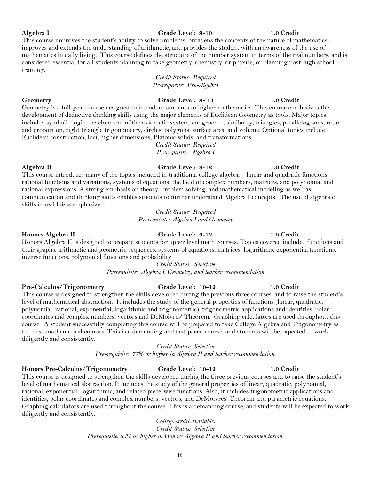### **Algebra I Grade Level: 9-10 1.0 Credit**

### This course improves the student's ability to solve problems, broadens the concepts of the nature of mathematics, improves and extends the understanding of arithmetic, and provides the student with an awareness of the use of mathematics in daily living. This course defines the structure of the number system in terms of the real numbers, and is considered essential for all students planning to take geometry, chemistry, or physics, or planning post-high school training.

*Credit Status: Required Prerequisite: Pre-Algebra*

### **Geometry Grade Level: 9- 11 1.0 Credit**

Geometry is a full-year course designed to introduce students to higher mathematics. This course emphasizes the development of deductive thinking skills using the major elements of Euclidean Geometry as tools. Major topics include: symbolic logic, development of the axiomatic system, congruence, similarity, triangles, parallelograms, ratio and proportion, right triangle trigonometry, circles, polygons, surface area, and volume. Optional topics include Euclidean construction, loci, higher dimensions, Platonic solids, and transformations.

> *Credit Status: Required Prerequisite: Algebra I*

### **Algebra II Grade Level: 9-12 1.0 Credit**

This course introduces many of the topics included in traditional college algebra – linear and quadratic functions, rational functions and variations, systems of equations, the field of complex numbers, matrices, and polynomial and rational expressions. A strong emphasis on theory, problem solving, and mathematical modeling as well as communication and thinking skills enables students to further understand Algebra I concepts. The use of algebraic skills in real life is emphasized.

> *Credit Status: Required Prerequisite: Algebra I and Geometry*

**Honors Algebra II Grade Level: 9-12 1.0 Credit** Honors Algebra II is designed to prepare students for upper level math courses. Topics covered include: functions and their graphs, arithmetic and geometric sequences, systems of equations, matrices, logarithms, exponential functions, inverse functions, polynomial functions and probability.

> *Credit Status: Selective Prerequisite: Algebra I, Geometry, and teacher recommendation*

### **Pre-Calculus/Trigonometry Grade Level: 10-12 1.0 Credit**

This course is designed to strengthen the skills developed during the previous three courses, and to raise the student's level of mathematical abstraction. It includes the study of the general properties of functions (linear, quadratic, polynomial, rational, exponential, logarithmic and trigonometric), trigonometric applications and identities, polar coordinates and complex numbers, vectors and DeMoivres' Theorem. Graphing calculators are used throughout this course. A student successfully completing this course will be prepared to take College Algebra and Trigonometry as the next mathematical courses. This is a demanding and fast-paced course, and students will be expected to work diligently and consistently.

*Credit Status: Selective*

*Pre-requisite: 77% or higher in Algebra II and teacher recommendation.*

### **Honors Pre-Calculus/Trigonometry Grade Level: 10-12 1.0 Credit**

This course is designed to strengthen the skills developed during the three previous courses and to raise the student's level of mathematical abstraction. It includes the study of the general properties of linear, quadratic, polynomial, rational, exponential, logarithmic, and related piece-wise functions. Also, it includes trigonometric applications and identities, polar coordinates and complex numbers, vectors, and DeMoivres' Theorem and parametric equations. Graphing calculators are used throughout the course. This is a demanding course, and students will be expected to work diligently and consistently.

> *College credit available. Credit Status: Selective Prerequisite: 85% or higher in Honors Algebra II and teacher recommendation.*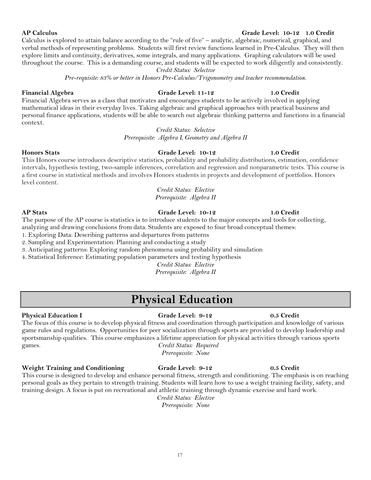### **AP Calculus Grade Level: 10-12 1.0 Credit**

Calculus is explored to attain balance according to the "rule of five" – analytic, algebraic, numerical, graphical, and verbal methods of representing problems. Students will first review functions learned in Pre-Calculus. They will then explore limits and continuity, derivatives, some integrals, and many applications. Graphing calculators will be used throughout the course. This is a demanding course, and students will be expected to work diligently and consistently. *Credit Status: Selective*

*Pre-requisite: 83% or better in Honors Pre-Calculus/Trigonometry and teacher recommendation.*

### **Financial Algebra Grade Level: 11-12 1.0 Credit**

Financial Algebra serves as a class that motivates and encourages students to be actively involved in applying mathematical ideas in their everyday lives. Taking algebraic and graphical approaches with practical business and personal finance applications, students will be able to search out algebraic thinking patterns and functions in a financial context.

### *Credit Status: Selective*

*Prerequisite: Algebra I, Geometry and Algebra II*

### **Honors Stats Grade Level: 10-12 1.0 Credit**

This Honors course introduces descriptive statistics, probability and probability distributions, estimation, confidence intervals, hypothesis testing, two-sample inferences, correlation and regression and nonparametric tests. This course is a first course in statistical methods and involves Honors students in projects and development of portfolios. Honors level content.

### *Credit Status: Elective Prerequisite: Algebra II*

The purpose of the AP course is statistics is to introduce students to the major concepts and tools for collecting,

analyzing and drawing conclusions from data. Students are exposed to four broad conceptual themes:

1. Exploring Data: Describing patterns and departures from patterns

2. Sampling and Experimentation: Planning and conducting a study 3. Anticipating patterns: Exploring random phenomena using probability and simulation

4. Statistical Inference: Estimating population parameters and testing hypothesis

*Credit Status: Elective*

*Prerequisite: Algebra II*

## **Physical Education**

**Physical Education I Grade Level: 9-12 0.5 Credit** The focus of this course is to develop physical fitness and coordination through participation and knowledge of various game rules and regulations. Opportunities for peer socialization through sports are provided to develop leadership and sportsmanship qualities. This course emphasizes a lifetime appreciation for physical activities through various sports games. *Credit Status: Required*

**Weight Training and Conditioning Grade Level: 9-12 0.5 Credit**

This course is designed to develop and enhance personal fitness, strength and conditioning. The emphasis is on reaching personal goals as they pertain to strength training. Students will learn how to use a weight training facility, safety, and training design. A focus is put on recreational and athletic training through dynamic exercise and hard work. *Credit Status: Elective*

*Prerequisite: None*

*Prerequisite: None*

**AP Stats Grade Level: 10-12 1.0 Credit**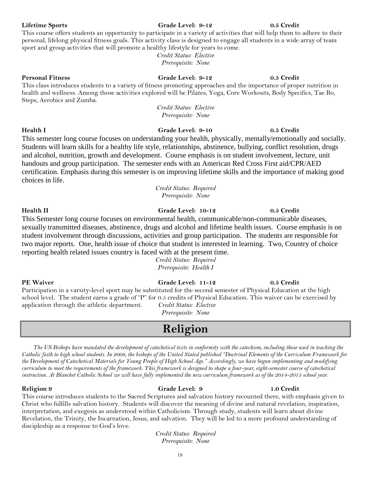### 18

### **Lifetime Sports Grade Level: 9-12 0.5 Credit**

### **Personal Fitness Grade Level: 9-12 0.5 Credit**

This class introduces students to a variety of fitness promoting approaches and the importance of proper nutrition in health and wellness. Among those activities explored will be Pilates, Yoga, Core Workouts, Body Specifics, Tae Bo, Steps, Aerobics and Zumba.

This course offers students an opportunity to participate in a variety of activities that will help them to adhere to their personal, lifelong physical fitness goals. This activity class is designed to engage all students in a wide array of team

> *Credit Status: Elective Prerequisite: None*

sport and group activities that will promote a healthy lifestyle for years to come.

*Credit Status: Elective Prerequisite: None*

This semester long course focuses on understanding your health, physically, mentally/emotionally and socially. Students will learn skills for a healthy life style, relationships, abstinence, bullying, conflict resolution, drugs and alcohol, nutrition, growth and development. Course emphasis is on student involvement, lecture, unit handouts and group participation. The semester ends with an American Red Cross First aid/CPR/AED certification. Emphasis during this semester is on improving lifetime skills and the importance of making good choices in life.

> *Credit Status: Required Prerequisite: None*

### **Health II Grade Level: 10-12 0.5 Credit**

This Semester long course focuses on environmental health, communicable/non-communicable diseases, sexually transmitted diseases, abstinence, drugs and alcohol and lifetime health issues. Course emphasis is on student involvement through discussions, activities and group participation. The students are responsible for two major reports. One, health issue of choice that student is interested in learning. Two, Country of choice reporting health related issues country is faced with at the present time.

> *Credit Status: Required Prerequisite: Health I*

Participation in a varsity-level sport may be substituted for the second semester of Physical Education at the high school level. The student earns a grade of "P" for 0.5 credits of Physical Education. This waiver can be exercised by application through the athletic department. *Credit Status: Elective*

**Religion**

*The US Bishops have mandated the development of catechetical texts in conformity with the catechism, including those used in teaching the Catholic faith to high school students. In 2008, the bishops of the United Stated published "Doctrinal Elements of the Curriculum Framework for the Development of Catechetical Materials for Young People of High School Age." Accordingly, we have begun implementing and modifying curriculum to meet the requirements of the framework. This framework is designed to shape a four-year, eight-semester course of catechetical instruction. At Blanchet Catholic School we will have fully implemented the new curriculum framework as of the 2014-2015 school year.* 

### **Religion 9 Grade Level: 9 1.0 Credit**

### This course introduces students to the Sacred Scriptures and salvation history recounted there, with emphasis given to Christ who fulfills salvation history. Students will discover the meaning of divine and natural revelation, inspiration, interpretation, and exegesis as understood within Catholicism. Through study, students will learn about divine Revelation, the Trinity, the Incarnation, Jesus, and salvation. They will be led to a more profound understanding of discipleship as a response to God's love.

*Credit Status: Required Prerequisite: None*

### **PE Waiver Grade Level: 11-12 0.5 Credit**

*Prerequisite: None*

**Health I Grade Level: 9-10 0.5 Credit**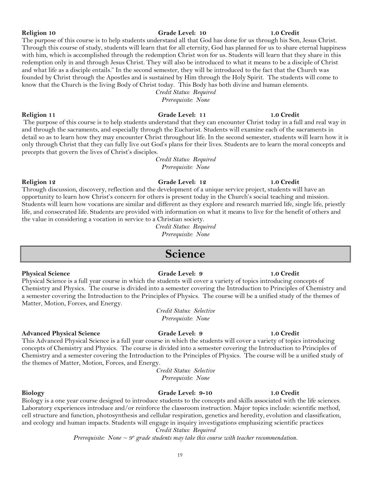### **Religion 10 Grade Level: 10 1.0 Credit**

### The purpose of this course is to help students understand all that God has done for us through his Son, Jesus Christ. Through this course of study, students will learn that for all eternity, God has planned for us to share eternal happiness with him, which is accomplished through the redemption Christ won for us. Students will learn that they share in this redemption only in and through Jesus Christ. They will also be introduced to what it means to be a disciple of Christ and what life as a disciple entails." In the second semester, they will be introduced to the fact that the Church was founded by Christ through the Apostles and is sustained by Him through the Holy Spirit. The students will come to know that the Church is the living Body of Christ today. This Body has both divine and human elements.

*Credit Status: Required Prerequisite: None*

### **Religion 11 Grade Level: 11 1.0 Credit**

The purpose of this course is to help students understand that they can encounter Christ today in a full and real way in and through the sacraments, and especially through the Eucharist. Students will examine each of the sacraments in detail so as to learn how they may encounter Christ throughout life. In the second semester, students will learn how it is only through Christ that they can fully live out God's plans for their lives. Students are to learn the moral concepts and precepts that govern the lives of Christ's disciples.

> *Credit Status: Required Prerequisite: None*

### **Religion 12 Grade Level: 12 1.0 Credit**

Through discussion, discovery, reflection and the development of a unique service project, students will have an opportunity to learn how Christ's concern for others is present today in the Church's social teaching and mission. Students will learn how vocations are similar and different as they explore and research married life, single life, priestly life, and consecrated life. Students are provided with information on what it means to live for the benefit of others and the value in considering a vocation in service to a Christian society.

> *Credit Status: Required Prerequisite: None*

## **Science**

### **Physical Science Grade Level: 9 1.0 Credit**

Physical Science is a full year course in which the students will cover a variety of topics introducing concepts of Chemistry and Physics. The course is divided into a semester covering the Introduction to Principles of Chemistry and a semester covering the Introduction to the Principles of Physics. The course will be a unified study of the themes of Matter, Motion, Forces, and Energy.

> *Credit Status: Selective Prerequisite: None*

### **Advanced Physical Science Grade Level: 9 1.0 Credit**

This Advanced Physical Science is a full year course in which the students will cover a variety of topics introducing concepts of Chemistry and Physics. The course is divided into a semester covering the Introduction to Principles of Chemistry and a semester covering the Introduction to the Principles of Physics. The course will be a unified study of the themes of Matter, Motion, Forces, and Energy.

> *Credit Status: Selective Prerequisite: None*

### **Biology Grade Level: 9-10 1.0 Credit**

Biology is a one year course designed to introduce students to the concepts and skills associated with the life sciences. Laboratory experiences introduce and/or reinforce the classroom instruction. Major topics include: scientific method, cell structure and function, photosynthesis and cellular respiration, genetics and heredity, evolution and classification, and ecology and human impacts. Students will engage in inquiry investigations emphasizing scientific practices

> *Credit Status: Required Prerequisite: None*  $\sim$  9<sup>th</sup> grade students may take this course with teacher recommendation.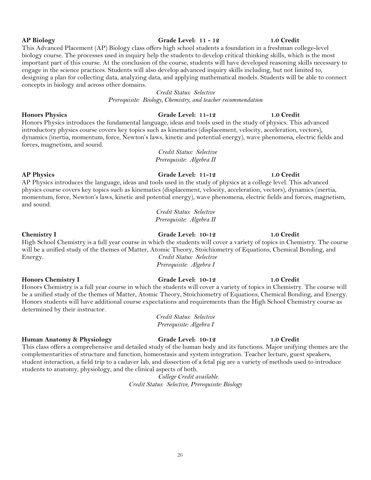This Advanced Placement (AP) Biology class offers high school students a foundation in a freshman college-level biology course. The processes used in inquiry help the students to develop critical thinking skills, which is the most important part of this course. At the conclusion of the course, students will have developed reasoning skills necessary to engage in the science practices. Students will also develop advanced inquiry skills including, but not limited to, designing a plan for collecting data, analyzing data, and applying mathematical models. Students will be able to connect concepts in biology and across other domains.

### *Credit Status: Selective*

*Prerequisite: Biology, Chemistry, and teacher recommendation*

### **Honors Physics Grade Level: 11-12 1.0 Credit**

Honors Physics introduces the fundamental language, ideas and tools used in the study of physics. This advanced introductory physics course covers key topics such as kinematics (displacement, velocity, acceleration, vectors), dynamics (inertia, momentum, force, Newton's laws, kinetic and potential energy), wave phenomena, electric fields and forces, magnetism, and sound.

> *Credit Status: Selective Prerequisite: Algebra II*

### **AP Physics Grade Level: 11-12 1.0 Credit** AP Physics introduces the language, ideas and tools used in the study of physics at a college level. This advanced physics course covers key topics such as kinematics (displacement, velocity, acceleration, vectors), dynamics (inertia, momentum, force, Newton's laws, kinetic and potential energy), wave phenomena, electric fields and forces, magnetism, and sound.

*Credit Status: Selective Prerequisite: Algebra II*

### **Chemistry I Grade Level: 10-12 1.0 Credit**

High School Chemistry is a full year course in which the students will cover a variety of topics in Chemistry. The course will be a unified study of the themes of Matter, Atomic Theory, Stoichiometry of Equations, Chemical Bonding, and Energy. *Credit Status: Selective Prerequisite: Algebra I*

### **Honors Chemistry I Grade Level: 10-12 1.0 Credit**

Honors Chemistry is a full year course in which the students will cover a variety of topics in Chemistry. The course will be a unified study of the themes of Matter, Atomic Theory, Stoichiometry of Equations, Chemical Bonding, and Energy. Honors students will have additional course expectations and requirements than the High School Chemistry course as determined by their instructor.

> *Credit Status: Selective Prerequisite: Algebra I*

### **Human Anatomy & Physiology Grade Level: 10-12 1.0 Credit**

This class offers a comprehensive and detailed study of the human body and its functions. Major unifying themes are the complementarities of structure and function, homeostasis and system integration. Teacher lecture, guest speakers, student interaction, a field trip to a cadaver lab, and dissection of a fetal pig are a variety of methods used to introduce students to anatomy, physiology, and the clinical aspects of both.

*College Credit available. Credit Status: Selective, Prerequisite: Biology*

### **AP Biology Grade Level: 11 - 12 1.0 Credit**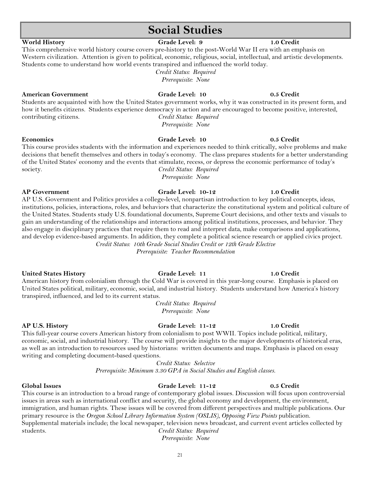## **Social Studies**

### **World History Grade Level: 9 1.0 Credit**

### This comprehensive world history course covers pre-history to the post-World War II era with an emphasis on Western civilization. Attention is given to political, economic, religious, social, intellectual, and artistic developments. Students come to understand how world events transpired and influenced the world today.

*Credit Status: Required Prerequisite: None*

### **American Government Grade Level: 10 0.5 Credit**

Students are acquainted with how the United States government works, why it was constructed in its present form, and how it benefits citizens. Students experience democracy in action and are encouraged to become positive, interested, contributing citizens. *Credit Status: Required*

*Prerequisite: None*

### **Economics Grade Level: 10 0.5 Credit** This course provides students with the information and experiences needed to think critically, solve problems and make decisions that benefit themselves and others in today's economy. The class prepares students for a better understanding of the United States' economy and the events that stimulate, recess, or depress the economic performance of today's society. *Credit Status: Required*

*Prerequisite: None*

### **AP Government Grade Level: 10-12 1.0 Credit**

AP U.S. Government and Politics provides a college-level, nonpartisan introduction to key political concepts, ideas, institutions, policies, interactions, roles, and behaviors that characterize the constitutional system and political culture of the United States. Students study U.S. foundational documents, Supreme Court decisions, and other texts and visuals to gain an understanding of the relationships and interactions among political institutions, processes, and behavior. They also engage in disciplinary practices that require them to read and interpret data, make comparisons and applications, and develop evidence-based arguments. In addition, they complete a political science research or applied civics project. *Credit Status: 10th Grade Social Studies Credit or 12th Grade Elective*

*Prerequisite: Teacher Recommendation*

### **United States History Grade Level: 11 1.0 Credit**

American history from colonialism through the Cold War is covered in this year-long course. Emphasis is placed on United States political, military, economic, social, and industrial history. Students understand how America's history transpired, influenced, and led to its current status.

> *Credit Status: Required Prerequisite: None*

This full-year course covers American history from colonialism to post WWII. Topics include political, military, economic, social, and industrial history. The course will provide insights to the major developments of historical eras, as well as an introduction to resources used by historians: written documents and maps. Emphasis is placed on essay writing and completing document-based questions.

*Credit Status: Selective*

*Prerequisite: Minimum 3.30 GPA in Social Studies and English classes.*

### This course is an introduction to a broad range of contemporary global issues. Discussion will focus upon controversial issues in areas such as international conflict and security, the global economy and development, the environment, immigration, and human rights. These issues will be covered from different perspectives and multiple publications. Our primary resource is the *Oregon School Library Information System (OSLIS), Opposing View Points* publication. Supplemental materials include; the local newspaper, television news broadcast, and current event articles collected by students. *Credit Status: Required*

*Prerequisite: None*

### **AP U.S. History Grade Level: 11-12 1.0 Credit**

### **Global Issues Grade Level: 11-12 0.5 Credit**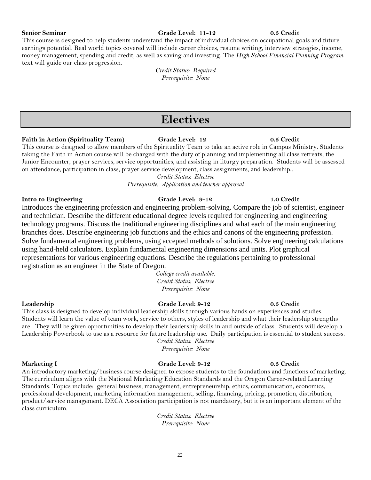### **Senior Seminar Grade Level: 11-12 0.5 Credit**

This course is designed to help students understand the impact of individual choices on occupational goals and future earnings potential. Real world topics covered will include career choices, resume writing, interview strategies, income, money management, spending and credit, as well as saving and investing. The *High School Financial Planning Program* text will guide our class progression.

> *Credit Status: Required Prerequisite: None*

## **Electives**

### **Faith in Action (Spirituality Team) Grade Level: 12 0.5 Credit**

This course is designed to allow members of the Spirituality Team to take an active role in Campus Ministry. Students taking the Faith in Action course will be charged with the duty of planning and implementing all class retreats, the Junior Encounter, prayer services, service opportunities, and assisting in liturgy preparation. Students will be assessed on attendance, participation in class, prayer service development, class assignments, and leadership..

*Credit Status: Elective*

*Prerequisite: Application and teacher approval*

### **Intro to Engineering Grade Level: 9-12 1.0 Credit**

Introduces the engineering profession and engineering problem-solving. Compare the job of scientist, engineer and technician. Describe the different educational degree levels required for engineering and engineering technology programs. Discuss the traditional engineering disciplines and what each of the main engineering branches does. Describe engineering job functions and the ethics and canons of the engineering profession. Solve fundamental engineering problems, using accepted methods of solutions. Solve engineering calculations using hand-held calculators. Explain fundamental engineering dimensions and units. Plot graphical representations for various engineering equations. Describe the regulations pertaining to professional registration as an engineer in the State of Oregon.

> *College credit available. Credit Status: Elective Prerequisite: None*

**Leadership Grade Level: 9-12 0.5 Credit** This class is designed to develop individual leadership skills through various hands on experiences and studies. Students will learn the value of team work, service to others, styles of leadership and what their leadership strengths are. They will be given opportunities to develop their leadership skills in and outside of class. Students will develop a Leadership Powerbook to use as a resource for future leadership use. Daily participation is essential to student success.

*Credit Status: Elective Prerequisite: None*

### **Marketing I Grade Level: 9-12 0.5 Credit**

An introductory marketing/business course designed to expose students to the foundations and functions of marketing. The curriculum aligns with the National Marketing Education Standards and the Oregon Career-related Learning Standards. Topics include: general business, management, entrepreneurship, ethics, communication, economics, professional development, marketing information management, selling, financing, pricing, promotion, distribution, product/service management. DECA Association participation is not mandatory, but it is an important element of the class curriculum.

*Credit Status: Elective Prerequisite: None*

### 22